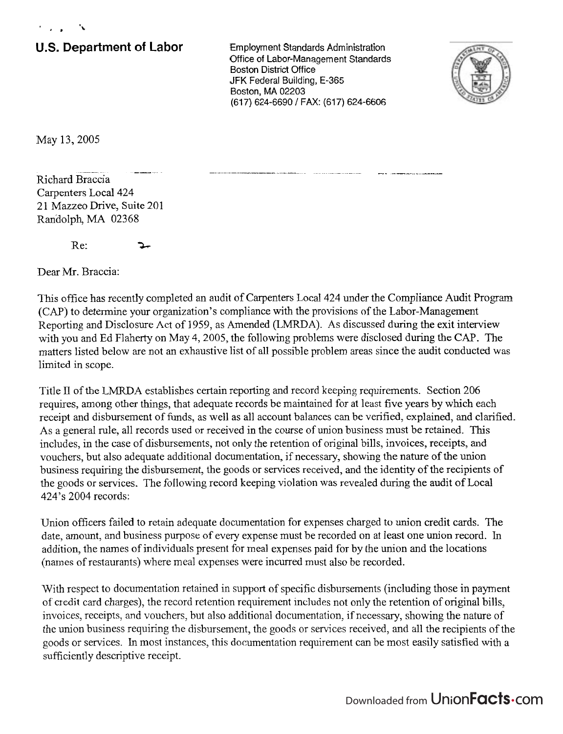## **U.S. Department of Labor** Employment Standards Administration

Office of Labor-Management Standards **Boston District Office** JFK Federal Building, E-365 Boston, MA 02203 (61 **7)** 624-6690 / FAX: (61 **7)** 624-6606



May 13,2005

- -- - - -- - -. - -- - - - -- .. - Richard Braccia Carpenters Local 424 21 Mazzeo Drive, Suite 201 Randolph, MA 02368

Re:  $\rightarrow$ 

Dear Mr. Braccia:

This office has recently completed an audit of Carpenters Local 424 under the Compliance Audit Program (CAP) to determine your organization's compliance with the provisions of the Labor-Management Reporting and Disclosure Act of 1959, as Amended (LMRDA). As discussed during the exit interview with you and Ed Flaherty on May 4, 2005, the following problems were disclosed during the CAP. The matters listed below are not an exhaustive list of all possible problem areas since the audit conducted was limited in scope.

Title 11 of the LMRDA establishes certain reporting and record keeping requirements. Section 206 requires, among other things, that adequate records be maintained for at least five years by which each receipt and disbursement of funds, as well as all account balances can be verified, explained, and clarified. As a general rule, all records used or received in the course of union business must be retained. This includes, in the case of disbursements, not only the retention of original bills, invoices, receipts, and vouchers, but also adequate additional documentation, if necessary, showing the nature of the union business requiring the disbursement, the goods or services received, and the identity of the recipients of the goods or services. The following record keeping violation was revealed during the audit of Local 424's 2004 records:

Union officers failed to retain adequate documentation for expenses charged to union credit cards. The date, amount, and business purpose of every expense must be recorded on at least one union record. In addition, the names of individuals present for meal expenses paid for by the union and the locations (names of restaurants) where meal expenses were incurred must also be recorded.

With respect to documentation retained in support of specific disbursements (including those in payment of credit card charges), the record retention requirement includes not only the retention of original bills, invoices, receipts, and vouchers, but also additional documentation, if necessary, showing the nature of the union business requiring the disbursement, the goods or services received, and all the recipients of the goods or services. **h** most instances, this documentation requirement can be most easily satisfied with a sufficiently descriptive receipt.